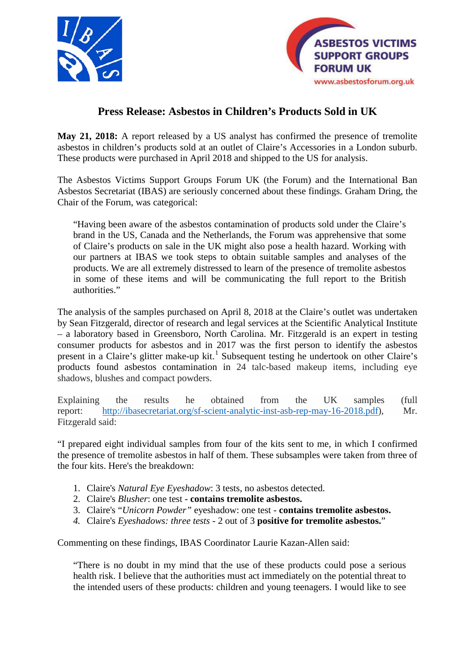



## **Press Release: Asbestos in Children's Products Sold in UK**

**May 21, 2018:** A report released by a US analyst has confirmed the presence of tremolite asbestos in children's products sold at an outlet of Claire's Accessories in a London suburb. These products were purchased in April 2018 and shipped to the US for analysis.

The Asbestos Victims Support Groups Forum UK (the Forum) and the International Ban Asbestos Secretariat (IBAS) are seriously concerned about these findings. Graham Dring, the Chair of the Forum, was categorical:

"Having been aware of the asbestos contamination of products sold under the Claire's brand in the US, Canada and the Netherlands, the Forum was apprehensive that some of Claire's products on sale in the UK might also pose a health hazard. Working with our partners at IBAS we took steps to obtain suitable samples and analyses of the products. We are all extremely distressed to learn of the presence of tremolite asbestos in some of these items and will be communicating the full report to the British authorities."

The analysis of the samples purchased on April 8, 2018 at the Claire's outlet was undertaken by Sean Fitzgerald, director of research and legal services at the Scientific Analytical Institute – a laboratory based in Greensboro, North Carolina. Mr. Fitzgerald is an expert in testing consumer products for asbestos and in 2017 was the first person to identify the asbestos present in a Claire's glitter make-up kit.<sup>[1](#page-1-0)</sup> Subsequent testing he undertook on other Claire's products found asbestos contamination in 24 talc-based makeup items, including eye shadows, blushes and compact powders.

Explaining the results he obtained from the UK samples (full report: [http://ibasecretariat.org/sf-scient-analytic-inst-asb-rep-may-16-2018.pdf\)](http://ibasecretariat.org/sf-scient-analytic-inst-asb-rep-may-16-2018.pdf), Mr. Fitzgerald said:

"I prepared eight individual samples from four of the kits sent to me, in which I confirmed the presence of tremolite asbestos in half of them. These subsamples were taken from three of the four kits. Here's the breakdown:

- 1. Claire's *Natural Eye Eyeshadow*: 3 tests, no asbestos detected.
- 2. Claire's *Blusher*: one test **contains tremolite asbestos.**
- 3. Claire's "*Unicorn Powder"* eyeshadow: one test **contains tremolite asbestos.**
- *4.* Claire's *Eyeshadows: three tests -* 2 out of 3 **positive for tremolite asbestos.**"

Commenting on these findings, IBAS Coordinator Laurie Kazan-Allen said:

"There is no doubt in my mind that the use of these products could pose a serious health risk. I believe that the authorities must act immediately on the potential threat to the intended users of these products: children and young teenagers. I would like to see